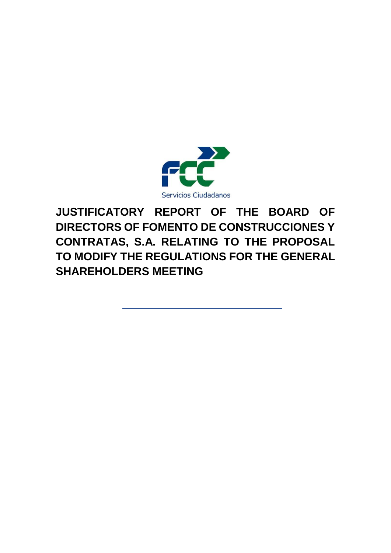

# **JUSTIFICATORY REPORT OF THE BOARD OF DIRECTORS OF FOMENTO DE CONSTRUCCIONES Y CONTRATAS, S.A. RELATING TO THE PROPOSAL TO MODIFY THE REGULATIONS FOR THE GENERAL SHAREHOLDERS MEETING**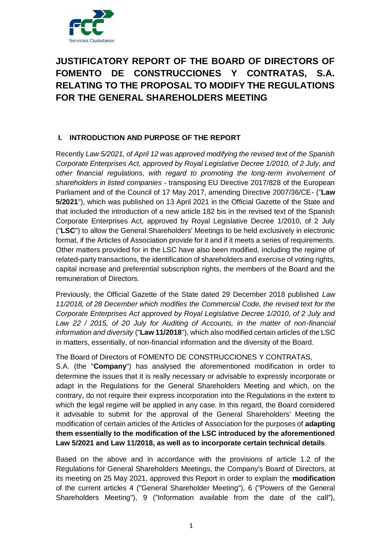

## **JUSTIFICATORY REPORT OF THE BOARD OF DIRECTORS OF FOMENTO DE CONSTRUCCIONES Y CONTRATAS, S.A. RELATING TO THE PROPOSAL TO MODIFY THE REGULATIONS FOR THE GENERAL SHAREHOLDERS MEETING**

## **I. INTRODUCTION AND PURPOSE OF THE REPORT**

Recently *Law 5/2021, of April 12 was approved modifying the revised text of the Spanish Corporate Enterprises Act, approved by Royal Legislative Decree 1/2010, of 2 July, and other financial regulations, with regard to promoting the long-term involvement of shareholders in listed companies* - transposing EU Directive 2017/828 of the European Parliament and of the Council of 17 May 2017, amending Directive 2007/36/CE- ("**Law 5/2021**"), which was published on 13 April 2021 in the Official Gazette of the State and that included the introduction of a new article 182 bis in the revised text of the Spanish Corporate Enterprises Act, approved by Royal Legislative Decree 1/2010, of 2 July ("**LSC**") to allow the General Shareholders' Meetings to be held exclusively in electronic format, if the Articles of Association provide for it and if it meets a series of requirements. Other matters provided for in the LSC have also been modified, including the regime of related-party transactions, the identification of shareholders and exercise of voting rights, capital increase and preferential subscription rights, the members of the Board and the remuneration of Directors.

Previously, the Official Gazette of the State dated 29 December 2018 published *Law 11/2018, of 28 December which modifies the Commercial Code, the revised text for the Corporate Enterprises Act approved by Royal Legislative Decree 1/2010, of 2 July and Law 22 / 2015, of 20 July for Auditing of Accounts, in the matter of non-financial information and diversity* ("**Law 11/2018**"), which also modified certain articles of the LSC in matters, essentially, of non-financial information and the diversity of the Board.

The Board of Directors of FOMENTO DE CONSTRUCCIONES Y CONTRATAS,

S.A. (the "**Company**") has analysed the aforementioned modification in order to determine the issues that it is really necessary or advisable to expressly incorporate or adapt in the Regulations for the General Shareholders Meeting and which, on the contrary, do not require their express incorporation into the Regulations in the extent to which the legal regime will be applied in any case. In this regard, the Board considered it advisable to submit for the approval of the General Shareholders' Meeting the modification of certain articles of the Articles of Association for the purposes of **adapting them essentially to the modification of the LSC introduced by the aforementioned Law 5/2021 and Law 11/2018, as well as to incorporate certain technical details**.

Based on the above and in accordance with the provisions of article 1.2 of the Regulations for General Shareholders Meetings, the Company's Board of Directors, at its meeting on 25 May 2021, approved this Report in order to explain the **modification**  of the current articles 4 ("General Shareholder Meeting"), 6 ("Powers of the General Shareholders Meeting"), 9 ("Information available from the date of the call"),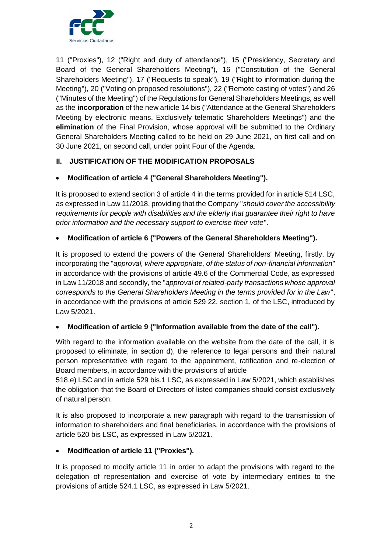

11 ("Proxies"), 12 ("Right and duty of attendance"), 15 ("Presidency, Secretary and Board of the General Shareholders Meeting"), 16 ("Constitution of the General Shareholders Meeting"), 17 ("Requests to speak"), 19 ("Right to information during the Meeting"), 20 ("Voting on proposed resolutions"), 22 ("Remote casting of votes") and 26 ("Minutes of the Meeting") of the Regulations for General Shareholders Meetings, as well as the **incorporation** of the new article 14 bis ("Attendance at the General Shareholders Meeting by electronic means. Exclusively telematic Shareholders Meetings") and the **elimination** of the Final Provision, whose approval will be submitted to the Ordinary General Shareholders Meeting called to be held on 29 June 2021, on first call and on 30 June 2021, on second call, under point Four of the Agenda.

## **II. JUSTIFICATION OF THE MODIFICATION PROPOSALS**

## **Modification of article 4 ("General Shareholders Meeting").**

It is proposed to extend section 3 of article 4 in the terms provided for in article 514 LSC, as expressed in Law 11/2018, providing that the Company "*should cover the accessibility requirements for people with disabilities and the elderly that guarantee their right to have prior information and the necessary support to exercise their vote*".

## **Modification of article 6 ("Powers of the General Shareholders Meeting").**

It is proposed to extend the powers of the General Shareholders' Meeting, firstly, by incorporating the "*approval, where appropriate, of the status of non-financial information*" in accordance with the provisions of article 49.6 of the Commercial Code, as expressed in Law 11/2018 and secondly, the "*approval of related-party transactions whose approval corresponds to the General Shareholders Meeting in the terms provided for in the Law*", in accordance with the provisions of article 529 22, section 1, of the LSC, introduced by Law 5/2021.

## **Modification of article 9 ("Information available from the date of the call").**

With regard to the information available on the website from the date of the call, it is proposed to eliminate, in section d), the reference to legal persons and their natural person representative with regard to the appointment, ratification and re-election of Board members, in accordance with the provisions of article

518.e) LSC and in article 529 bis.1 LSC, as expressed in Law 5/2021, which establishes the obligation that the Board of Directors of listed companies should consist exclusively of natural person.

It is also proposed to incorporate a new paragraph with regard to the transmission of information to shareholders and final beneficiaries, in accordance with the provisions of article 520 bis LSC, as expressed in Law 5/2021.

## **Modification of article 11 ("Proxies").**

It is proposed to modify article 11 in order to adapt the provisions with regard to the delegation of representation and exercise of vote by intermediary entities to the provisions of article 524.1 LSC, as expressed in Law 5/2021.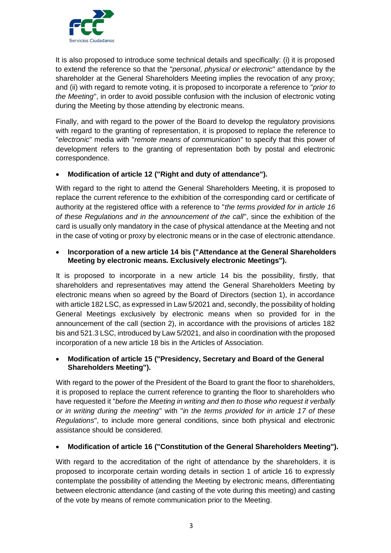

It is also proposed to introduce some technical details and specifically: (i) it is proposed to extend the reference so that the "*personal*, *physical or electronic*" attendance by the shareholder at the General Shareholders Meeting implies the revocation of any proxy; and (ii) with regard to remote voting, it is proposed to incorporate a reference to "*prior to the Meeting*", in order to avoid possible confusion with the inclusion of electronic voting during the Meeting by those attending by electronic means.

Finally, and with regard to the power of the Board to develop the regulatory provisions with regard to the granting of representation, it is proposed to replace the reference to "*electronic*" media with "*remote means of communication*" to specify that this power of development refers to the granting of representation both by postal and electronic correspondence.

## **Modification of article 12 ("Right and duty of attendance").**

With regard to the right to attend the General Shareholders Meeting, it is proposed to replace the current reference to the exhibition of the corresponding card or certificate of authority at the registered office with a reference to "*the terms provided for in article 16 of these Regulations and in the announcement of the call*", since the exhibition of the card is usually only mandatory in the case of physical attendance at the Meeting and not in the case of voting or proxy by electronic means or in the case of electronic attendance.

## **Incorporation of a new article 14 bis ("Attendance at the General Shareholders Meeting by electronic means. Exclusively electronic Meetings").**

It is proposed to incorporate in a new article 14 bis the possibility, firstly, that shareholders and representatives may attend the General Shareholders Meeting by electronic means when so agreed by the Board of Directors (section 1), in accordance with article 182 LSC, as expressed in Law 5/2021 and, secondly, the possibility of holding General Meetings exclusively by electronic means when so provided for in the announcement of the call (section 2), in accordance with the provisions of articles 182 bis and 521.3 LSC, introduced by Law 5/2021, and also in coordination with the proposed incorporation of a new article 18 bis in the Articles of Association.

## **Modification of article 15 ("Presidency, Secretary and Board of the General Shareholders Meeting").**

With regard to the power of the President of the Board to grant the floor to shareholders, it is proposed to replace the current reference to granting the floor to shareholders who have requested it "*before the Meeting in writing and then to those who request it verbally or in writing during the meeting*" with "*in the terms provided for in article 17 of these Regulations*", to include more general conditions, since both physical and electronic assistance should be considered.

## **Modification of article 16 ("Constitution of the General Shareholders Meeting").**

With regard to the accreditation of the right of attendance by the shareholders, it is proposed to incorporate certain wording details in section 1 of article 16 to expressly contemplate the possibility of attending the Meeting by electronic means, differentiating between electronic attendance (and casting of the vote during this meeting) and casting of the vote by means of remote communication prior to the Meeting.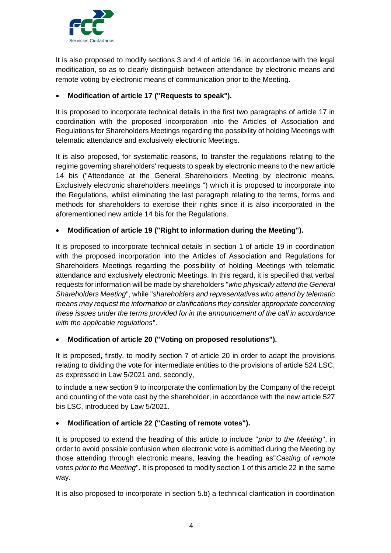

It is also proposed to modify sections 3 and 4 of article 16, in accordance with the legal modification, so as to clearly distinguish between attendance by electronic means and remote voting by electronic means of communication prior to the Meeting.

## **Modification of article 17 ("Requests to speak").**

It is proposed to incorporate technical details in the first two paragraphs of article 17 in coordination with the proposed incorporation into the Articles of Association and Regulations for Shareholders Meetings regarding the possibility of holding Meetings with telematic attendance and exclusively electronic Meetings.

It is also proposed, for systematic reasons, to transfer the regulations relating to the regime governing shareholders' requests to speak by electronic means to the new article 14 bis ("Attendance at the General Shareholders Meeting by electronic means. Exclusively electronic shareholders meetings ") which it is proposed to incorporate into the Regulations, whilst eliminating the last paragraph relating to the terms, forms and methods for shareholders to exercise their rights since it is also incorporated in the aforementioned new article 14 bis for the Regulations.

## **Modification of article 19 ("Right to information during the Meeting").**

It is proposed to incorporate technical details in section 1 of article 19 in coordination with the proposed incorporation into the Articles of Association and Regulations for Shareholders Meetings regarding the possibility of holding Meetings with telematic attendance and exclusively electronic Meetings. In this regard, it is specified that verbal requests for information will be made by shareholders "*who physically attend the General Shareholders Meeting*", while "*shareholders and representatives who attend by telematic means may request the information or clarifications they consider appropriate concerning these issues under the terms provided for in the announcement of the call in accordance with the applicable regulations*".

#### **Modification of article 20 ("Voting on proposed resolutions").**

It is proposed, firstly, to modify section 7 of article 20 in order to adapt the provisions relating to dividing the vote for intermediate entities to the provisions of article 524 LSC, as expressed in Law 5/2021 and, secondly,

to include a new section 9 to incorporate the confirmation by the Company of the receipt and counting of the vote cast by the shareholder, in accordance with the new article 527 bis LSC, introduced by Law 5/2021.

## **Modification of article 22 ("Casting of remote votes").**

It is proposed to extend the heading of this article to include "*prior to the Meeting*", in order to avoid possible confusion when electronic vote is admitted during the Meeting by those attending through electronic means, leaving the heading as"*Casting of remote votes prior to the Meeting*". It is proposed to modify section 1 of this article 22 in the same way.

It is also proposed to incorporate in section 5.b) a technical clarification in coordination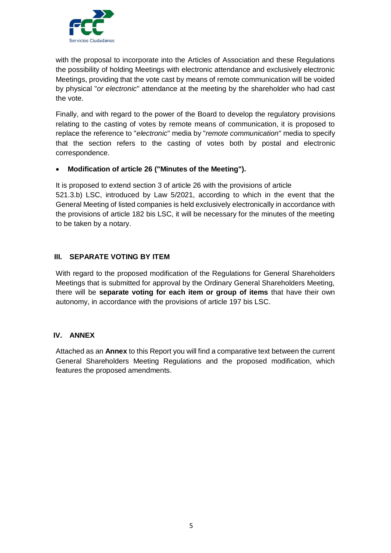

with the proposal to incorporate into the Articles of Association and these Regulations the possibility of holding Meetings with electronic attendance and exclusively electronic Meetings, providing that the vote cast by means of remote communication will be voided by physical "*or electronic*" attendance at the meeting by the shareholder who had cast the vote.

Finally, and with regard to the power of the Board to develop the regulatory provisions relating to the casting of votes by remote means of communication, it is proposed to replace the reference to "*electronic*" media by "*remote communication*" media to specify that the section refers to the casting of votes both by postal and electronic correspondence.

## **Modification of article 26 ("Minutes of the Meeting").**

It is proposed to extend section 3 of article 26 with the provisions of article 521.3.b) LSC, introduced by Law 5/2021, according to which in the event that the General Meeting of listed companies is held exclusively electronically in accordance with the provisions of article 182 bis LSC, it will be necessary for the minutes of the meeting to be taken by a notary.

## **III. SEPARATE VOTING BY ITEM**

With regard to the proposed modification of the Regulations for General Shareholders Meetings that is submitted for approval by the Ordinary General Shareholders Meeting, there will be **separate voting for each item or group of items** that have their own autonomy, in accordance with the provisions of article 197 bis LSC.

#### **IV. ANNEX**

Attached as an **Annex** to this Report you will find a comparative text between the current General Shareholders Meeting Regulations and the proposed modification, which features the proposed amendments.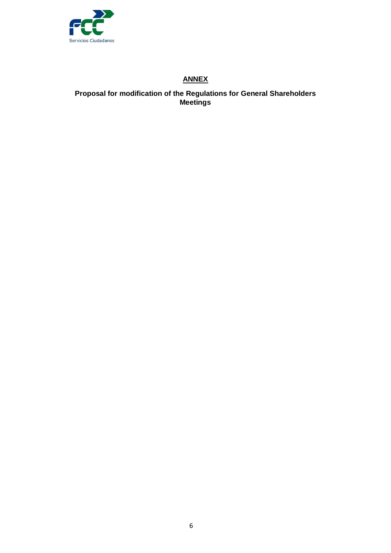

## **ANNEX**

## **Proposal for modification of the Regulations for General Shareholders Meetings**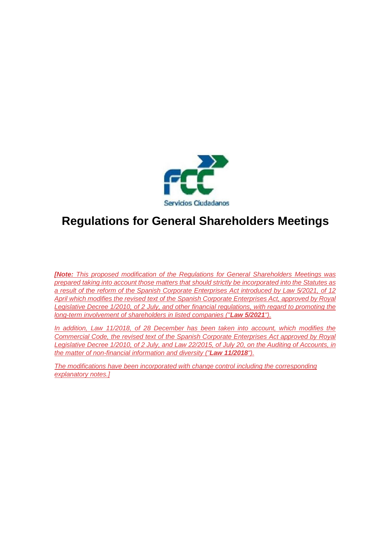

## **Regulations for General Shareholders Meetings**

*[Note: This proposed modification of the Regulations for General Shareholders Meetings was prepared taking into account those matters that should strictly be incorporated into the Statutes as a result of the reform of the Spanish Corporate Enterprises Act introduced by Law 5/2021, of 12 April which modifies the revised text of the Spanish Corporate Enterprises Act, approved by Royal Legislative Decree 1/2010, of 2 July, and other financial regulations, with regard to promoting the long-term involvement of shareholders in listed companies ("Law 5/2021").*

*In addition, Law 11/2018, of 28 December has been taken into account, which modifies the Commercial Code, the revised text of the Spanish Corporate Enterprises Act approved by Royal Legislative Decree 1/2010, of 2 July, and Law 22/2015, of July 20, on the Auditing of Accounts, in the matter of non-financial information and diversity ("Law 11/2018").*

*The modifications have been incorporated with change control including the corresponding explanatory notes.]*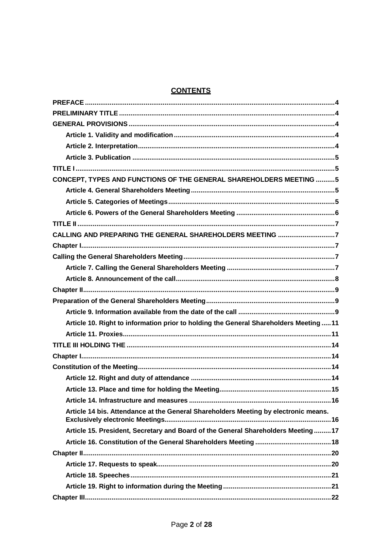## **CONTENTS**

| <b>CONCEPT, TYPES AND FUNCTIONS OF THE GENERAL SHAREHOLDERS MEETING 5</b>              |
|----------------------------------------------------------------------------------------|
|                                                                                        |
|                                                                                        |
|                                                                                        |
|                                                                                        |
| CALLING AND PREPARING THE GENERAL SHAREHOLDERS MEETING 7                               |
|                                                                                        |
|                                                                                        |
|                                                                                        |
|                                                                                        |
|                                                                                        |
|                                                                                        |
|                                                                                        |
| Article 10. Right to information prior to holding the General Shareholders Meeting  11 |
|                                                                                        |
|                                                                                        |
|                                                                                        |
|                                                                                        |
|                                                                                        |
|                                                                                        |
|                                                                                        |
| Article 14 bis. Attendance at the General Shareholders Meeting by electronic means.    |
| Article 15. President, Secretary and Board of the General Shareholders Meeting17       |
|                                                                                        |
|                                                                                        |
|                                                                                        |
|                                                                                        |
|                                                                                        |
|                                                                                        |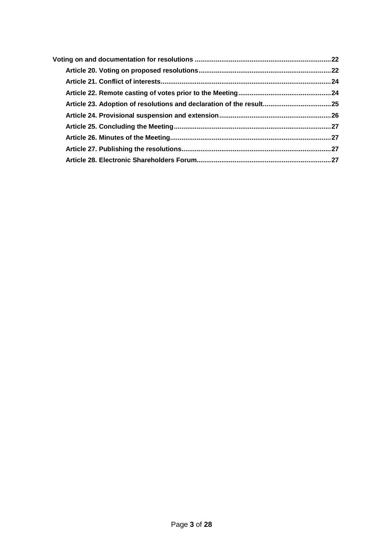| Article 23. Adoption of resolutions and declaration of the result25 |  |
|---------------------------------------------------------------------|--|
|                                                                     |  |
|                                                                     |  |
|                                                                     |  |
|                                                                     |  |
|                                                                     |  |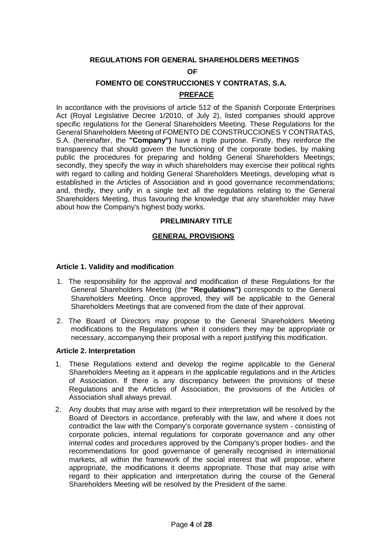## **REGULATIONS FOR GENERAL SHAREHOLDERS MEETINGS**

#### **OF**

## **FOMENTO DE CONSTRUCCIONES Y CONTRATAS, S.A.**

#### **PREFACE**

<span id="page-10-0"></span>In accordance with the provisions of article 512 of the Spanish Corporate Enterprises Act (Royal Legislative Decree 1/2010, of July 2), listed companies should approve specific regulations for the General Shareholders Meeting. These Regulations for the General Shareholders Meeting of FOMENTO DE CONSTRUCCIONES Y CONTRATAS, S.A. (hereinafter, the **"Company")** have a triple purpose. Firstly, they reinforce the transparency that should govern the functioning of the corporate bodies, by making public the procedures for preparing and holding General Shareholders Meetings; secondly, they specify the way in which shareholders may exercise their political rights with regard to calling and holding General Shareholders Meetings, developing what is established in the Articles of Association and in good governance recommendations; and, thirdly, they unify in a single text all the regulations relating to the General Shareholders Meeting, thus favouring the knowledge that any shareholder may have about how the Company's highest body works.

#### **PRELIMINARY TITLE**

#### **GENERAL PROVISIONS**

#### <span id="page-10-3"></span><span id="page-10-2"></span><span id="page-10-1"></span>**Article 1. Validity and modification**

- 1. The responsibility for the approval and modification of these Regulations for the General Shareholders Meeting (the **"Regulations")** corresponds to the General Shareholders Meeting. Once approved, they will be applicable to the General Shareholders Meetings that are convened from the date of their approval.
- 2. The Board of Directors may propose to the General Shareholders Meeting modifications to the Regulations when it considers they may be appropriate or necessary, accompanying their proposal with a report justifying this modification.

#### <span id="page-10-4"></span>**Article 2. Interpretation**

- 1. These Regulations extend and develop the regime applicable to the General Shareholders Meeting as it appears in the applicable regulations and in the Articles of Association. If there is any discrepancy between the provisions of these Regulations and the Articles of Association, the provisions of the Articles of Association shall always prevail.
- 2. Any doubts that may arise with regard to their interpretation will be resolved by the Board of Directors in accordance, preferably with the law, and where it does not contradict the law with the Company's corporate governance system - consisting of corporate policies, internal regulations for corporate governance and any other internal codes and procedures approved by the Company's proper bodies- and the recommendations for good governance of generally recognised in international markets, all within the framework of the social interest that will propose, where appropriate, the modifications it deems appropriate. Those that may arise with regard to their application and interpretation during the course of the General Shareholders Meeting will be resolved by the President of the same.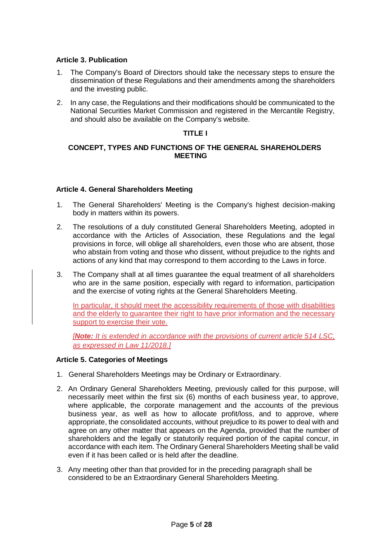## <span id="page-11-0"></span>**Article 3. Publication**

- 1. The Company's Board of Directors should take the necessary steps to ensure the dissemination of these Regulations and their amendments among the shareholders and the investing public.
- <span id="page-11-1"></span>2. In any case, the Regulations and their modifications should be communicated to the National Securities Market Commission and registered in the Mercantile Registry, and should also be available on the Company's website.

## **TITLE I**

#### <span id="page-11-2"></span>**CONCEPT, TYPES AND FUNCTIONS OF THE GENERAL SHAREHOLDERS MEETING**

#### <span id="page-11-3"></span>**Article 4. General Shareholders Meeting**

- 1. The General Shareholders' Meeting is the Company's highest decision-making body in matters within its powers.
- 2. The resolutions of a duly constituted General Shareholders Meeting, adopted in accordance with the Articles of Association, these Regulations and the legal provisions in force, will oblige all shareholders, even those who are absent, those who abstain from voting and those who dissent, without prejudice to the rights and actions of any kind that may correspond to them according to the Laws in force.
- 3. The Company shall at all times guarantee the equal treatment of all shareholders who are in the same position, especially with regard to information, participation and the exercise of voting rights at the General Shareholders Meeting.

In particular, it should meet the accessibility requirements of those with disabilities and the elderly to guarantee their right to have prior information and the necessary support to exercise their vote.

*[Note: It is extended in accordance with the provisions of current article 514 LSC, as expressed in Law 11/2018.]*

#### <span id="page-11-4"></span>**Article 5. Categories of Meetings**

- 1. General Shareholders Meetings may be Ordinary or Extraordinary.
- 2. An Ordinary General Shareholders Meeting, previously called for this purpose, will necessarily meet within the first six (6) months of each business year, to approve, where applicable, the corporate management and the accounts of the previous business year, as well as how to allocate profit/loss, and to approve, where appropriate, the consolidated accounts, without prejudice to its power to deal with and agree on any other matter that appears on the Agenda, provided that the number of shareholders and the legally or statutorily required portion of the capital concur, in accordance with each item. The Ordinary General Shareholders Meeting shall be valid even if it has been called or is held after the deadline.
- 3. Any meeting other than that provided for in the preceding paragraph shall be considered to be an Extraordinary General Shareholders Meeting.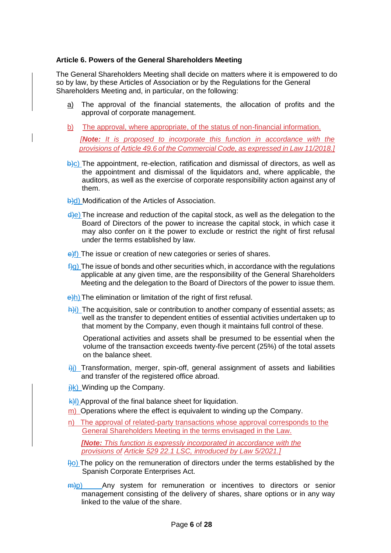#### <span id="page-12-0"></span>**Article 6. Powers of the General Shareholders Meeting**

The General Shareholders Meeting shall decide on matters where it is empowered to do so by law, by these Articles of Association or by the Regulations for the General Shareholders Meeting and, in particular, on the following:

- a) The approval of the financial statements, the allocation of profits and the approval of corporate management.
- b) The approval, where appropriate, of the status of non-financial information.

*[Note: It is proposed to incorporate this function in accordance with the provisions of Article 49.6 of the Commercial Code, as expressed in Law 11/2018.]*

- $\overline{b}$ )c) The appointment, re-election, ratification and dismissal of directors, as well as the appointment and dismissal of the liquidators and, where applicable, the auditors, as well as the exercise of corporate responsibility action against any of them.
- **b**)d) Modification of the Articles of Association.
- $\frac{d}{e}$ ) The increase and reduction of the capital stock, as well as the delegation to the Board of Directors of the power to increase the capital stock, in which case it may also confer on it the power to exclude or restrict the right of first refusal under the terms established by law.
- $\frac{e}{f}$ ) The issue or creation of new categories or series of shares.
- $f(g)$  The issue of bonds and other securities which, in accordance with the regulations applicable at any given time, are the responsibility of the General Shareholders Meeting and the delegation to the Board of Directors of the power to issue them.
- e<sub>)</sub>h) The elimination or limitation of the right of first refusal.
- $\frac{h}{i}$ ) The acquisition, sale or contribution to another company of essential assets; as well as the transfer to dependent entities of essential activities undertaken up to that moment by the Company, even though it maintains full control of these.

Operational activities and assets shall be presumed to be essential when the volume of the transaction exceeds twenty-five percent (25%) of the total assets on the balance sheet.

- $\frac{1}{10}$ ) Transformation, merger, spin-off, general assignment of assets and liabilities and transfer of the registered office abroad.
- $\frac{1}{1}$ k) Winding up the Company.
- k)l) Approval of the final balance sheet for liquidation.
- m) Operations where the effect is equivalent to winding up the Company.
- n) The approval of related-party transactions whose approval corresponds to the General Shareholders Meeting in the terms envisaged in the Law.

*[Note: This function is expressly incorporated in accordance with the provisions of Article 529 22.1 LSC, introduced by Law 5/2021.]*

- $\vert$ <sup>1</sup>)<sup>o</sup>) The policy on the remuneration of directors under the terms established by the Spanish Corporate Enterprises Act.
- $\frac{m}{p}$ ) Any system for remuneration or incentives to directors or senior management consisting of the delivery of shares, share options or in any way linked to the value of the share.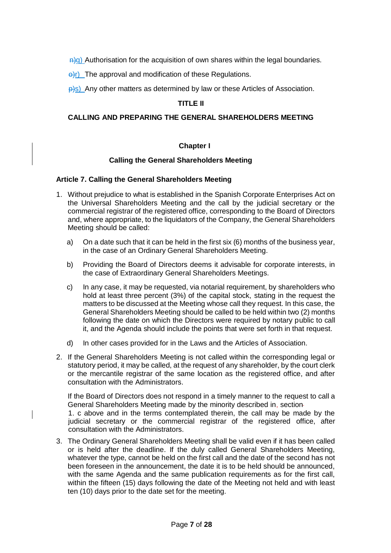$\frac{H}{q}$ ) Authorisation for the acquisition of own shares within the legal boundaries.

 $\Theta(r)$  The approval and modification of these Regulations.

<span id="page-13-0"></span> $\frac{p}{s}$ s) Any other matters as determined by law or these Articles of Association.

#### **TITLE II**

#### <span id="page-13-1"></span>**CALLING AND PREPARING THE GENERAL SHAREHOLDERS MEETING**

#### **Chapter I**

#### **Calling the General Shareholders Meeting**

#### <span id="page-13-4"></span><span id="page-13-3"></span><span id="page-13-2"></span>**Article 7. Calling the General Shareholders Meeting**

- 1. Without prejudice to what is established in the Spanish Corporate Enterprises Act on the Universal Shareholders Meeting and the call by the judicial secretary or the commercial registrar of the registered office, corresponding to the Board of Directors and, where appropriate, to the liquidators of the Company, the General Shareholders Meeting should be called:
	- a) On a date such that it can be held in the first six (6) months of the business year, in the case of an Ordinary General Shareholders Meeting.
	- b) Providing the Board of Directors deems it advisable for corporate interests, in the case of Extraordinary General Shareholders Meetings.
	- c) In any case, it may be requested, via notarial requirement, by shareholders who hold at least three percent (3%) of the capital stock, stating in the request the matters to be discussed at the Meeting whose call they request. In this case, the General Shareholders Meeting should be called to be held within two (2) months following the date on which the Directors were required by notary public to call it, and the Agenda should include the points that were set forth in that request.
	- d) In other cases provided for in the Laws and the Articles of Association.
- 2. If the General Shareholders Meeting is not called within the corresponding legal or statutory period, it may be called, at the request of any shareholder, by the court clerk or the mercantile registrar of the same location as the registered office, and after consultation with the Administrators.

If the Board of Directors does not respond in a timely manner to the request to call a General Shareholders Meeting made by the minority described in, section

1. c above and in the terms contemplated therein, the call may be made by the judicial secretary or the commercial registrar of the registered office, after consultation with the Administrators.

3. The Ordinary General Shareholders Meeting shall be valid even if it has been called or is held after the deadline. If the duly called General Shareholders Meeting, whatever the type, cannot be held on the first call and the date of the second has not been foreseen in the announcement, the date it is to be held should be announced, with the same Agenda and the same publication requirements as for the first call, within the fifteen (15) days following the date of the Meeting not held and with least ten (10) days prior to the date set for the meeting.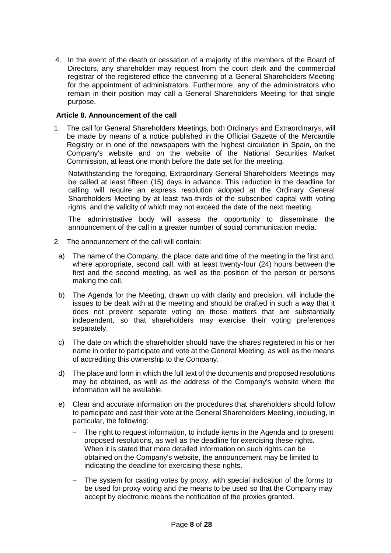4. In the event of the death or cessation of a majority of the members of the Board of Directors, any shareholder may request from the court clerk and the commercial registrar of the registered office the convening of a General Shareholders Meeting for the appointment of administrators. Furthermore, any of the administrators who remain in their position may call a General Shareholders Meeting for that single purpose.

#### <span id="page-14-0"></span>**Article 8. Announcement of the call**

1. The call for General Shareholders Meetings, both Ordinarys and Extraordinarys, will be made by means of a notice published in the Official Gazette of the Mercantile Registry or in one of the newspapers with the highest circulation in Spain, on the Company's website and on the website of the National Securities Market Commission, at least one month before the date set for the meeting.

Notwithstanding the foregoing, Extraordinary General Shareholders Meetings may be called at least fifteen (15) days in advance. This reduction in the deadline for calling will require an express resolution adopted at the Ordinary General Shareholders Meeting by at least two-thirds of the subscribed capital with voting rights, and the validity of which may not exceed the date of the next meeting.

The administrative body will assess the opportunity to disseminate the announcement of the call in a greater number of social communication media.

- 2. The announcement of the call will contain:
	- a) The name of the Company, the place, date and time of the meeting in the first and, where appropriate, second call, with at least twenty-four (24) hours between the first and the second meeting, as well as the position of the person or persons making the call.
	- b) The Agenda for the Meeting, drawn up with clarity and precision, will include the issues to be dealt with at the meeting and should be drafted in such a way that it does not prevent separate voting on those matters that are substantially independent, so that shareholders may exercise their voting preferences separately.
	- c) The date on which the shareholder should have the shares registered in his or her name in order to participate and vote at the General Meeting, as well as the means of accrediting this ownership to the Company.
	- d) The place and form in which the full text of the documents and proposed resolutions may be obtained, as well as the address of the Company's website where the information will be available.
	- e) Clear and accurate information on the procedures that shareholders should follow to participate and cast their vote at the General Shareholders Meeting, including, in particular, the following:
		- The right to request information, to include items in the Agenda and to present proposed resolutions, as well as the deadline for exercising these rights. When it is stated that more detailed information on such rights can be obtained on the Company's website, the announcement may be limited to indicating the deadline for exercising these rights.
		- The system for casting votes by proxy, with special indication of the forms to be used for proxy voting and the means to be used so that the Company may accept by electronic means the notification of the proxies granted.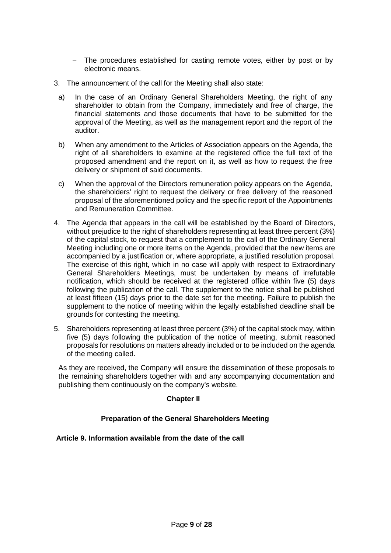- The procedures established for casting remote votes, either by post or by electronic means.
- 3. The announcement of the call for the Meeting shall also state:
	- a) In the case of an Ordinary General Shareholders Meeting, the right of any shareholder to obtain from the Company, immediately and free of charge, the financial statements and those documents that have to be submitted for the approval of the Meeting, as well as the management report and the report of the auditor.
	- b) When any amendment to the Articles of Association appears on the Agenda, the right of all shareholders to examine at the registered office the full text of the proposed amendment and the report on it, as well as how to request the free delivery or shipment of said documents.
	- c) When the approval of the Directors remuneration policy appears on the Agenda, the shareholders' right to request the delivery or free delivery of the reasoned proposal of the aforementioned policy and the specific report of the Appointments and Remuneration Committee.
- 4. The Agenda that appears in the call will be established by the Board of Directors, without prejudice to the right of shareholders representing at least three percent (3%) of the capital stock, to request that a complement to the call of the Ordinary General Meeting including one or more items on the Agenda, provided that the new items are accompanied by a justification or, where appropriate, a justified resolution proposal. The exercise of this right, which in no case will apply with respect to Extraordinary General Shareholders Meetings, must be undertaken by means of irrefutable notification, which should be received at the registered office within five (5) days following the publication of the call. The supplement to the notice shall be published at least fifteen (15) days prior to the date set for the meeting. Failure to publish the supplement to the notice of meeting within the legally established deadline shall be grounds for contesting the meeting.
- 5. Shareholders representing at least three percent (3%) of the capital stock may, within five (5) days following the publication of the notice of meeting, submit reasoned proposals for resolutions on matters already included or to be included on the agenda of the meeting called.

<span id="page-15-0"></span>As they are received, the Company will ensure the dissemination of these proposals to the remaining shareholders together with and any accompanying documentation and publishing them continuously on the company's website.

#### **Chapter II**

#### **Preparation of the General Shareholders Meeting**

#### <span id="page-15-2"></span><span id="page-15-1"></span>**Article 9. Information available from the date of the call**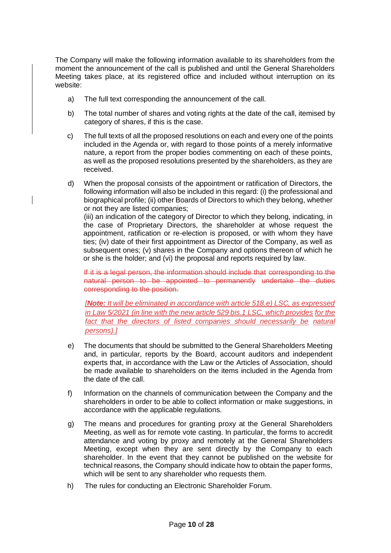The Company will make the following information available to its shareholders from the moment the announcement of the call is published and until the General Shareholders Meeting takes place, at its registered office and included without interruption on its website:

- a) The full text corresponding the announcement of the call.
- b) The total number of shares and voting rights at the date of the call, itemised by category of shares, if this is the case.
- c) The full texts of all the proposed resolutions on each and every one of the points included in the Agenda or, with regard to those points of a merely informative nature, a report from the proper bodies commenting on each of these points, as well as the proposed resolutions presented by the shareholders, as they are received.
- d) When the proposal consists of the appointment or ratification of Directors, the following information will also be included in this regard: (i) the professional and biographical profile; (ii) other Boards of Directors to which they belong, whether or not they are listed companies;

(iii) an indication of the category of Director to which they belong, indicating, in the case of Proprietary Directors, the shareholder at whose request the appointment, ratification or re-election is proposed, or with whom they have ties; (iv) date of their first appointment as Director of the Company, as well as subsequent ones; (v) shares in the Company and options thereon of which he or she is the holder; and (vi) the proposal and reports required by law.

If it is a legal person, the information should include that corresponding to the natural person to be appointed to permanently undertake the duties corresponding to the position.

*[Note: It will be eliminated in accordance with article 518.e) LSC, as expressed in Law 5/2021 (in line with the new article 529 bis.1 LSC, which provides for the fact that the directors of listed companies should necessarily be natural persons).]*

- e) The documents that should be submitted to the General Shareholders Meeting and, in particular, reports by the Board, account auditors and independent experts that, in accordance with the Law or the Articles of Association, should be made available to shareholders on the items included in the Agenda from the date of the call.
- f) Information on the channels of communication between the Company and the shareholders in order to be able to collect information or make suggestions, in accordance with the applicable regulations.
- g) The means and procedures for granting proxy at the General Shareholders Meeting, as well as for remote vote casting. In particular, the forms to accredit attendance and voting by proxy and remotely at the General Shareholders Meeting, except when they are sent directly by the Company to each shareholder. In the event that they cannot be published on the website for technical reasons, the Company should indicate how to obtain the paper forms, which will be sent to any shareholder who requests them.
- h) The rules for conducting an Electronic Shareholder Forum.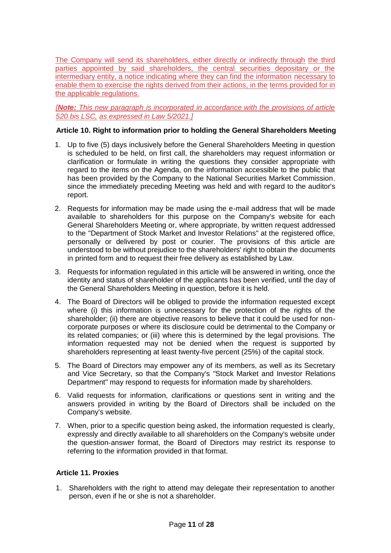The Company will send its shareholders, either directly or indirectly through the third parties appointed by said shareholders, the central securities depositary or the intermediary entity, a notice indicating where they can find the information necessary to enable them to exercise the rights derived from their actions, in the terms provided for in the applicable regulations.

*[Note: This new paragraph is incorporated in accordance with the provisions of article 520 bis LSC, as expressed in Law 5/2021.]*

#### <span id="page-17-0"></span>**Article 10. Right to information prior to holding the General Shareholders Meeting**

- 1. Up to five (5) days inclusively before the General Shareholders Meeting in question is scheduled to be held, on first call, the shareholders may request information or clarification or formulate in writing the questions they consider appropriate with regard to the items on the Agenda, on the information accessible to the public that has been provided by the Company to the National Securities Market Commission, since the immediately preceding Meeting was held and with regard to the auditor's report.
- 2. Requests for information may be made using the e-mail address that will be made available to shareholders for this purpose on the Company's website for each General Shareholders Meeting or, where appropriate, by written request addressed to the "Department of Stock Market and Investor Relations" at the registered office, personally or delivered by post or courier. The provisions of this article are understood to be without prejudice to the shareholders' right to obtain the documents in printed form and to request their free delivery as established by Law.
- 3. Requests for information regulated in this article will be answered in writing, once the identity and status of shareholder of the applicants has been verified, until the day of the General Shareholders Meeting in question, before it is held.
- 4. The Board of Directors will be obliged to provide the information requested except where (i) this information is unnecessary for the protection of the rights of the shareholder; (ii) there are objective reasons to believe that it could be used for noncorporate purposes or where its disclosure could be detrimental to the Company or its related companies; or (iii) where this is determined by the legal provisions. The information requested may not be denied when the request is supported by shareholders representing at least twenty-five percent (25%) of the capital stock.
- 5. The Board of Directors may empower any of its members, as well as its Secretary and Vice Secretary, so that the Company's "Stock Market and Investor Relations Department" may respond to requests for information made by shareholders.
- 6. Valid requests for information, clarifications or questions sent in writing and the answers provided in writing by the Board of Directors shall be included on the Company's website.
- 7. When, prior to a specific question being asked, the information requested is clearly, expressly and directly available to all shareholders on the Company's website under the question-answer format, the Board of Directors may restrict its response to referring to the information provided in that format.

## <span id="page-17-1"></span>**Article 11. Proxies**

1. Shareholders with the right to attend may delegate their representation to another person, even if he or she is not a shareholder.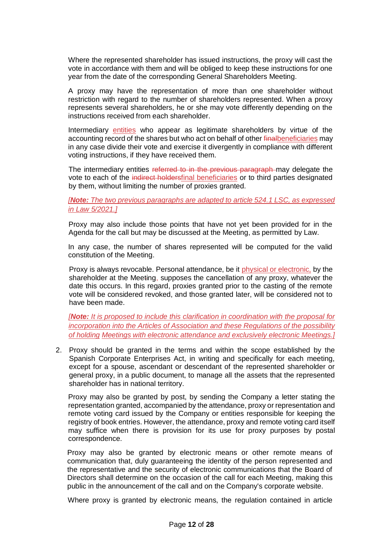Where the represented shareholder has issued instructions, the proxy will cast the vote in accordance with them and will be obliged to keep these instructions for one year from the date of the corresponding General Shareholders Meeting.

A proxy may have the representation of more than one shareholder without restriction with regard to the number of shareholders represented. When a proxy represents several shareholders, he or she may vote differently depending on the instructions received from each shareholder.

Intermediary entities who appear as legitimate shareholders by virtue of the accounting record of the shares but who act on behalf of other finalbeneficiaries may in any case divide their vote and exercise it divergently in compliance with different voting instructions, if they have received them.

The intermediary entities referred to in the previous paragraph may delegate the vote to each of the indirect holdersfinal beneficiaries or to third parties designated by them, without limiting the number of proxies granted.

#### *[Note: The two previous paragraphs are adapted to article 524.1 LSC, as expressed in Law 5/2021.]*

Proxy may also include those points that have not yet been provided for in the Agenda for the call but may be discussed at the Meeting, as permitted by Law.

In any case, the number of shares represented will be computed for the valid constitution of the Meeting.

Proxy is always revocable. Personal attendance, be it physical or electronic, by the shareholder at the Meeting, supposes the cancellation of any proxy, whatever the date this occurs. In this regard, proxies granted prior to the casting of the remote vote will be considered revoked, and those granted later, will be considered not to have been made.

*[Note: It is proposed to include this clarification in coordination with the proposal for incorporation into the Articles of Association and these Regulations of the possibility of holding Meetings with electronic attendance and exclusively electronic Meetings.]*

2. Proxy should be granted in the terms and within the scope established by the Spanish Corporate Enterprises Act, in writing and specifically for each meeting, except for a spouse, ascendant or descendant of the represented shareholder or general proxy, in a public document, to manage all the assets that the represented shareholder has in national territory.

Proxy may also be granted by post, by sending the Company a letter stating the representation granted, accompanied by the attendance, proxy or representation and remote voting card issued by the Company or entities responsible for keeping the registry of book entries. However, the attendance, proxy and remote voting card itself may suffice when there is provision for its use for proxy purposes by postal correspondence.

Proxy may also be granted by electronic means or other remote means of communication that, duly guaranteeing the identity of the person represented and the representative and the security of electronic communications that the Board of Directors shall determine on the occasion of the call for each Meeting, making this public in the announcement of the call and on the Company's corporate website.

Where proxy is granted by electronic means, the regulation contained in article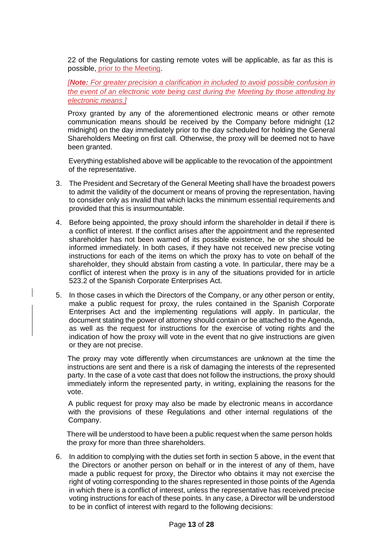22 of the Regulations for casting remote votes will be applicable, as far as this is possible, prior to the Meeting.

*[Note: For greater precision a clarification in included to avoid possible confusion in the event of an electronic vote being cast during the Meeting by those attending by electronic means.]*

Proxy granted by any of the aforementioned electronic means or other remote communication means should be received by the Company before midnight (12 midnight) on the day immediately prior to the day scheduled for holding the General Shareholders Meeting on first call. Otherwise, the proxy will be deemed not to have been granted.

Everything established above will be applicable to the revocation of the appointment of the representative.

- 3. The President and Secretary of the General Meeting shall have the broadest powers to admit the validity of the document or means of proving the representation, having to consider only as invalid that which lacks the minimum essential requirements and provided that this is insurmountable.
- 4. Before being appointed, the proxy should inform the shareholder in detail if there is a conflict of interest. If the conflict arises after the appointment and the represented shareholder has not been warned of its possible existence, he or she should be informed immediately. In both cases, if they have not received new precise voting instructions for each of the items on which the proxy has to vote on behalf of the shareholder, they should abstain from casting a vote. In particular, there may be a conflict of interest when the proxy is in any of the situations provided for in article 523.2 of the Spanish Corporate Enterprises Act.
- 5. In those cases in which the Directors of the Company, or any other person or entity, make a public request for proxy, the rules contained in the Spanish Corporate Enterprises Act and the implementing regulations will apply. In particular, the document stating the power of attorney should contain or be attached to the Agenda, as well as the request for instructions for the exercise of voting rights and the indication of how the proxy will vote in the event that no give instructions are given or they are not precise.

The proxy may vote differently when circumstances are unknown at the time the instructions are sent and there is a risk of damaging the interests of the represented party. In the case of a vote cast that does not follow the instructions, the proxy should immediately inform the represented party, in writing, explaining the reasons for the vote.

A public request for proxy may also be made by electronic means in accordance with the provisions of these Regulations and other internal regulations of the Company.

There will be understood to have been a public request when the same person holds the proxy for more than three shareholders.

6. In addition to complying with the duties set forth in section 5 above, in the event that the Directors or another person on behalf or in the interest of any of them, have made a public request for proxy, the Director who obtains it may not exercise the right of voting corresponding to the shares represented in those points of the Agenda in which there is a conflict of interest, unless the representative has received precise voting instructions for each of these points. In any case, a Director will be understood to be in conflict of interest with regard to the following decisions: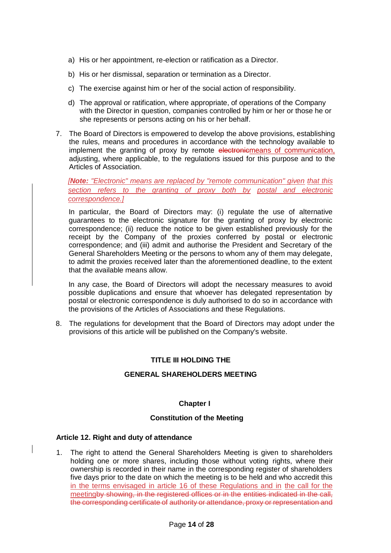- a) His or her appointment, re-election or ratification as a Director.
- b) His or her dismissal, separation or termination as a Director.
- c) The exercise against him or her of the social action of responsibility.
- d) The approval or ratification, where appropriate, of operations of the Company with the Director in question, companies controlled by him or her or those he or she represents or persons acting on his or her behalf.
- 7. The Board of Directors is empowered to develop the above provisions, establishing the rules, means and procedures in accordance with the technology available to implement the granting of proxy by remote electronicmeans of communication, adjusting, where applicable, to the regulations issued for this purpose and to the Articles of Association.

*[Note: "Electronic" means are replaced by "remote communication" given that this section refers to the granting of proxy both by postal and electronic correspondence.]*

In particular, the Board of Directors may: (i) regulate the use of alternative guarantees to the electronic signature for the granting of proxy by electronic correspondence; (ii) reduce the notice to be given established previously for the receipt by the Company of the proxies conferred by postal or electronic correspondence; and (iii) admit and authorise the President and Secretary of the General Shareholders Meeting or the persons to whom any of them may delegate, to admit the proxies received later than the aforementioned deadline, to the extent that the available means allow.

In any case, the Board of Directors will adopt the necessary measures to avoid possible duplications and ensure that whoever has delegated representation by postal or electronic correspondence is duly authorised to do so in accordance with the provisions of the Articles of Associations and these Regulations.

8. The regulations for development that the Board of Directors may adopt under the provisions of this article will be published on the Company's website.

#### <span id="page-20-0"></span>**TITLE III HOLDING THE**

#### **GENERAL SHAREHOLDERS MEETING**

#### **Chapter I**

#### **Constitution of the Meeting**

#### <span id="page-20-3"></span><span id="page-20-2"></span><span id="page-20-1"></span>**Article 12. Right and duty of attendance**

1. The right to attend the General Shareholders Meeting is given to shareholders holding one or more shares, including those without voting rights, where their ownership is recorded in their name in the corresponding register of shareholders five days prior to the date on which the meeting is to be held and who accredit this in the terms envisaged in article 16 of these Regulations and in the call for the meetingby showing, in the registered offices or in the entities indicated in the call, the corresponding certificate of authority or attendance, proxy or representation and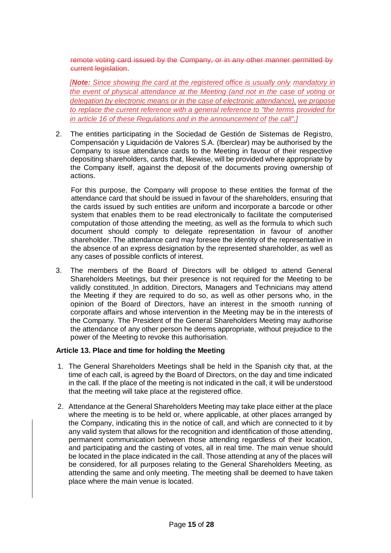remote voting card issued by the Company, or in any other manner permitted by current legislation.

*[Note: Since showing the card at the registered office is usually only mandatory in the event of physical attendance at the Meeting (and not in the case of voting or delegation by electronic means or in the case of electronic attendance), we propose to replace the current reference with a general reference to "the terms provided for in article 16 of these Regulations and in the announcement of the call".]*

2. The entities participating in the Sociedad de Gestión de Sistemas de Registro, Compensación y Liquidación de Valores S.A. (Iberclear) may be authorised by the Company to issue attendance cards to the Meeting in favour of their respective depositing shareholders, cards that, likewise, will be provided where appropriate by the Company itself, against the deposit of the documents proving ownership of actions.

For this purpose, the Company will propose to these entities the format of the attendance card that should be issued in favour of the shareholders, ensuring that the cards issued by such entities are uniform and incorporate a barcode or other system that enables them to be read electronically to facilitate the computerised computation of those attending the meeting, as well as the formula to which such document should comply to delegate representation in favour of another shareholder. The attendance card may foresee the identity of the representative in the absence of an express designation by the represented shareholder, as well as any cases of possible conflicts of interest.

3. The members of the Board of Directors will be obliged to attend General Shareholders Meetings, but their presence is not required for the Meeting to be validly constituted. In addition, Directors, Managers and Technicians may attend the Meeting if they are required to do so, as well as other persons who, in the opinion of the Board of Directors, have an interest in the smooth running of corporate affairs and whose intervention in the Meeting may be in the interests of the Company. The President of the General Shareholders Meeting may authorise the attendance of any other person he deems appropriate, without prejudice to the power of the Meeting to revoke this authorisation.

#### <span id="page-21-0"></span>**Article 13. Place and time for holding the Meeting**

- 1. The General Shareholders Meetings shall be held in the Spanish city that, at the time of each call, is agreed by the Board of Directors, on the day and time indicated in the call. If the place of the meeting is not indicated in the call, it will be understood that the meeting will take place at the registered office.
- 2. Attendance at the General Shareholders Meeting may take place either at the place where the meeting is to be held or, where applicable, at other places arranged by the Company, indicating this in the notice of call, and which are connected to it by any valid system that allows for the recognition and identification of those attending, permanent communication between those attending regardless of their location, and participating and the casting of votes, all in real time. The main venue should be located in the place indicated in the call. Those attending at any of the places will be considered, for all purposes relating to the General Shareholders Meeting, as attending the same and only meeting. The meeting shall be deemed to have taken place where the main venue is located.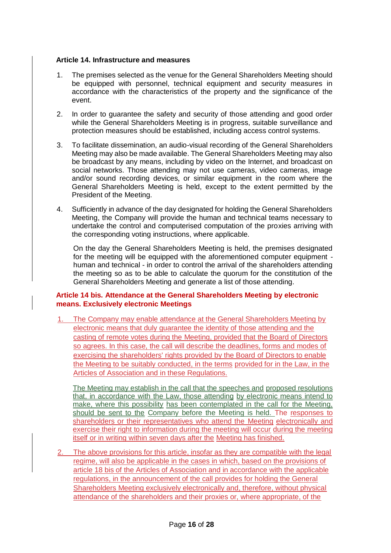#### <span id="page-22-0"></span>**Article 14. Infrastructure and measures**

- 1. The premises selected as the venue for the General Shareholders Meeting should be equipped with personnel, technical equipment and security measures in accordance with the characteristics of the property and the significance of the event.
- 2. In order to guarantee the safety and security of those attending and good order while the General Shareholders Meeting is in progress, suitable surveillance and protection measures should be established, including access control systems.
- 3. To facilitate dissemination, an audio-visual recording of the General Shareholders Meeting may also be made available. The General Shareholders Meeting may also be broadcast by any means, including by video on the Internet, and broadcast on social networks. Those attending may not use cameras, video cameras, image and/or sound recording devices, or similar equipment in the room where the General Shareholders Meeting is held, except to the extent permitted by the President of the Meeting.
- 4. Sufficiently in advance of the day designated for holding the General Shareholders Meeting, the Company will provide the human and technical teams necessary to undertake the control and computerised computation of the proxies arriving with the corresponding voting instructions, where applicable.

On the day the General Shareholders Meeting is held, the premises designated for the meeting will be equipped with the aforementioned computer equipment human and technical - in order to control the arrival of the shareholders attending the meeting so as to be able to calculate the quorum for the constitution of the General Shareholders Meeting and generate a list of those attending.

#### <span id="page-22-1"></span>**Article 14 bis. Attendance at the General Shareholders Meeting by electronic means. Exclusively electronic Meetings**

1. The Company may enable attendance at the General Shareholders Meeting by electronic means that duly guarantee the identity of those attending and the casting of remote votes during the Meeting, provided that the Board of Directors so agrees. In this case, the call will describe the deadlines, forms and modes of exercising the shareholders' rights provided by the Board of Directors to enable the Meeting to be suitably conducted, in the terms provided for in the Law, in the Articles of Association and in these Regulations.

The Meeting may establish in the call that the speeches and proposed resolutions that, in accordance with the Law, those attending by electronic means intend to make, where this possibility has been contemplated in the call for the Meeting, should be sent to the Company before the Meeting is held. The responses to shareholders or their representatives who attend the Meeting electronically and exercise their right to information during the meeting will occur during the meeting itself or in writing within seven days after the Meeting has finished.

2. The above provisions for this article, insofar as they are compatible with the legal regime, will also be applicable in the cases in which, based on the provisions of article 18 bis of the Articles of Association and in accordance with the applicable regulations, in the announcement of the call provides for holding the General Shareholders Meeting exclusively electronically and, therefore, without physical attendance of the shareholders and their proxies or, where appropriate, of the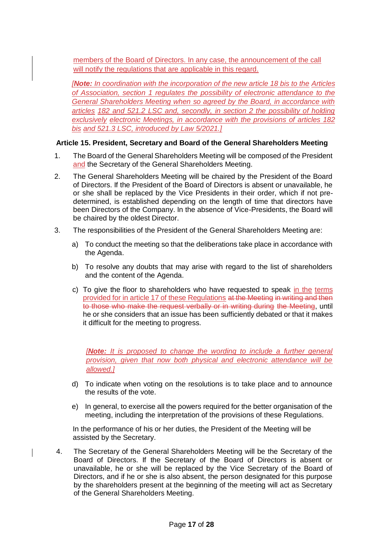members of the Board of Directors. In any case, the announcement of the call will notify the regulations that are applicable in this regard.

*[Note: In coordination with the incorporation of the new article 18 bis to the Articles of Association, section 1 regulates the possibility of electronic attendance to the General Shareholders Meeting when so agreed by the Board, in accordance with articles 182 and 521.2 LSC and, secondly, in section 2 the possibility of holding exclusively electronic Meetings, in accordance with the provisions of articles 182 bis and 521.3 LSC, introduced by Law 5/2021.]*

#### <span id="page-23-0"></span>**Article 15. President, Secretary and Board of the General Shareholders Meeting**

- 1. The Board of the General Shareholders Meeting will be composed of the President and the Secretary of the General Shareholders Meeting.
- 2. The General Shareholders Meeting will be chaired by the President of the Board of Directors. If the President of the Board of Directors is absent or unavailable, he or she shall be replaced by the Vice Presidents in their order, which if not predetermined, is established depending on the length of time that directors have been Directors of the Company. In the absence of Vice-Presidents, the Board will be chaired by the oldest Director.
- 3. The responsibilities of the President of the General Shareholders Meeting are:
	- a) To conduct the meeting so that the deliberations take place in accordance with the Agenda.
	- b) To resolve any doubts that may arise with regard to the list of shareholders and the content of the Agenda.
	- c) To give the floor to shareholders who have requested to speak in the terms provided for in article 17 of these Regulations at the Meeting in writing and then to those who make the request verbally or in writing during the Meeting, until he or she considers that an issue has been sufficiently debated or that it makes it difficult for the meeting to progress.

*[Note: It is proposed to change the wording to include a further general provision, given that now both physical and electronic attendance will be allowed.]*

- d) To indicate when voting on the resolutions is to take place and to announce the results of the vote.
- e) In general, to exercise all the powers required for the better organisation of the meeting, including the interpretation of the provisions of these Regulations.

In the performance of his or her duties, the President of the Meeting will be assisted by the Secretary.

4. The Secretary of the General Shareholders Meeting will be the Secretary of the Board of Directors. If the Secretary of the Board of Directors is absent or unavailable, he or she will be replaced by the Vice Secretary of the Board of Directors, and if he or she is also absent, the person designated for this purpose by the shareholders present at the beginning of the meeting will act as Secretary of the General Shareholders Meeting.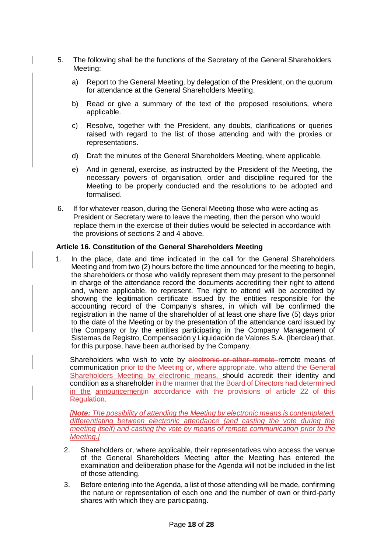- 5. The following shall be the functions of the Secretary of the General Shareholders Meeting:
	- a) Report to the General Meeting, by delegation of the President, on the quorum for attendance at the General Shareholders Meeting.
	- b) Read or give a summary of the text of the proposed resolutions, where applicable.
	- c) Resolve, together with the President, any doubts, clarifications or queries raised with regard to the list of those attending and with the proxies or representations.
	- d) Draft the minutes of the General Shareholders Meeting, where applicable.
	- e) And in general, exercise, as instructed by the President of the Meeting, the necessary powers of organisation, order and discipline required for the Meeting to be properly conducted and the resolutions to be adopted and formalised.
- 6. If for whatever reason, during the General Meeting those who were acting as President or Secretary were to leave the meeting, then the person who would replace them in the exercise of their duties would be selected in accordance with the provisions of sections 2 and 4 above.

#### <span id="page-24-0"></span>**Article 16. Constitution of the General Shareholders Meeting**

1. In the place, date and time indicated in the call for the General Shareholders Meeting and from two (2) hours before the time announced for the meeting to begin, the shareholders or those who validly represent them may present to the personnel in charge of the attendance record the documents accrediting their right to attend and, where applicable, to represent. The right to attend will be accredited by showing the legitimation certificate issued by the entities responsible for the accounting record of the Company's shares, in which will be confirmed the registration in the name of the shareholder of at least one share five (5) days prior to the date of the Meeting or by the presentation of the attendance card issued by the Company or by the entities participating in the Company Management of Sistemas de Registro, Compensación y Liquidación de Valores S.A. (Iberclear) that, for this purpose, have been authorised by the Company.

Shareholders who wish to vote by electronic or other remote remote means of communication prior to the Meeting or, where appropriate, who attend the General Shareholders Meeting by electronic means, should accredit their identity and condition as a shareholder in the manner that the Board of Directors had determined in the announcementin accordance with the provisions of article 22 of this **Regulation** 

*[Note: The possibility of attending the Meeting by electronic means is contemplated, differentiating between electronic attendance (and casting the vote during the meeting itself) and casting the vote by means of remote communication prior to the Meeting.]*

- 2. Shareholders or, where applicable, their representatives who access the venue of the General Shareholders Meeting after the Meeting has entered the examination and deliberation phase for the Agenda will not be included in the list of those attending.
- 3. Before entering into the Agenda, a list of those attending will be made, confirming the nature or representation of each one and the number of own or third-party shares with which they are participating.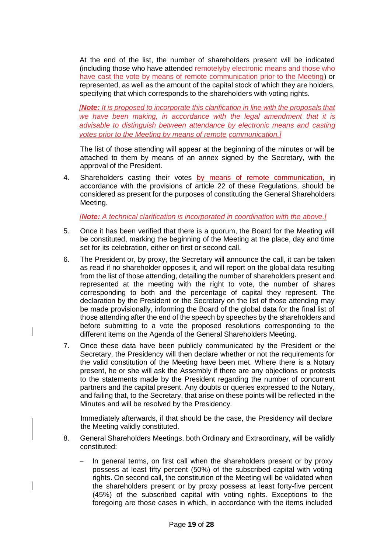At the end of the list, the number of shareholders present will be indicated (including those who have attended remotelyby electronic means and those who have cast the vote by means of remote communication prior to the Meeting) or represented, as well as the amount of the capital stock of which they are holders, specifying that which corresponds to the shareholders with voting rights.

*[Note: It is proposed to incorporate this clarification in line with the proposals that we have been making, in accordance with the legal amendment that it is advisable to distinguish between attendance by electronic means and casting votes prior to the Meeting by means of remote communication.]*

The list of those attending will appear at the beginning of the minutes or will be attached to them by means of an annex signed by the Secretary, with the approval of the President.

4. Shareholders casting their votes by means of remote communication, in accordance with the provisions of article 22 of these Regulations, should be considered as present for the purposes of constituting the General Shareholders Meeting.

*[Note: A technical clarification is incorporated in coordination with the above.]*

- 5. Once it has been verified that there is a quorum, the Board for the Meeting will be constituted, marking the beginning of the Meeting at the place, day and time set for its celebration, either on first or second call.
- 6. The President or, by proxy, the Secretary will announce the call, it can be taken as read if no shareholder opposes it, and will report on the global data resulting from the list of those attending, detailing the number of shareholders present and represented at the meeting with the right to vote, the number of shares corresponding to both and the percentage of capital they represent. The declaration by the President or the Secretary on the list of those attending may be made provisionally, informing the Board of the global data for the final list of those attending after the end of the speech by speeches by the shareholders and before submitting to a vote the proposed resolutions corresponding to the different items on the Agenda of the General Shareholders Meeting.
- 7. Once these data have been publicly communicated by the President or the Secretary, the Presidency will then declare whether or not the requirements for the valid constitution of the Meeting have been met. Where there is a Notary present, he or she will ask the Assembly if there are any objections or protests to the statements made by the President regarding the number of concurrent partners and the capital present. Any doubts or queries expressed to the Notary, and failing that, to the Secretary, that arise on these points will be reflected in the Minutes and will be resolved by the Presidency.

Immediately afterwards, if that should be the case, the Presidency will declare the Meeting validly constituted.

- 8. General Shareholders Meetings, both Ordinary and Extraordinary, will be validly constituted:
	- In general terms, on first call when the shareholders present or by proxy possess at least fifty percent (50%) of the subscribed capital with voting rights. On second call, the constitution of the Meeting will be validated when the shareholders present or by proxy possess at least forty-five percent (45%) of the subscribed capital with voting rights. Exceptions to the foregoing are those cases in which, in accordance with the items included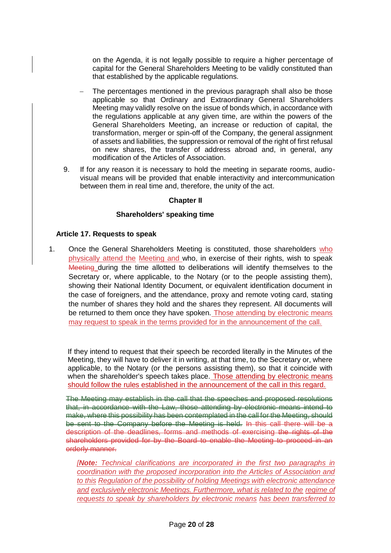on the Agenda, it is not legally possible to require a higher percentage of capital for the General Shareholders Meeting to be validly constituted than that established by the applicable regulations.

- The percentages mentioned in the previous paragraph shall also be those applicable so that Ordinary and Extraordinary General Shareholders Meeting may validly resolve on the issue of bonds which, in accordance with the regulations applicable at any given time, are within the powers of the General Shareholders Meeting, an increase or reduction of capital, the transformation, merger or spin-off of the Company, the general assignment of assets and liabilities, the suppression or removal of the right of first refusal on new shares, the transfer of address abroad and, in general, any modification of the Articles of Association.
- <span id="page-26-0"></span>9. If for any reason it is necessary to hold the meeting in separate rooms, audiovisual means will be provided that enable interactivity and intercommunication between them in real time and, therefore, the unity of the act.

#### **Chapter II**

#### **Shareholders' speaking time**

#### <span id="page-26-1"></span>**Article 17. Requests to speak**

1. Once the General Shareholders Meeting is constituted, those shareholders who physically attend the Meeting and who, in exercise of their rights, wish to speak Meeting during the time allotted to deliberations will identify themselves to the Secretary or, where applicable, to the Notary (or to the people assisting them), showing their National Identity Document, or equivalent identification document in the case of foreigners, and the attendance, proxy and remote voting card, stating the number of shares they hold and the shares they represent. All documents will be returned to them once they have spoken. Those attending by electronic means may request to speak in the terms provided for in the announcement of the call.

If they intend to request that their speech be recorded literally in the Minutes of the Meeting, they will have to deliver it in writing, at that time, to the Secretary or, where applicable, to the Notary (or the persons assisting them), so that it coincide with when the shareholder's speech takes place. Those attending by electronic means should follow the rules established in the announcement of the call in this regard.

The Meeting may establish in the call that the speeches and proposed resolutions that, in accordance with the Law, those attending by electronic means intend to make, where this possibility has been contemplated in the call for the Meeting, should be sent to the Company before the Meeting is held. In this call there will be a description of the deadlines, forms and methods of exercising the rights of the shareholders provided for by the Board to enable the Meeting to proceed in an orderly manner.

*[Note: Technical clarifications are incorporated in the first two paragraphs in coordination with the proposed incorporation into the Articles of Association and to this Regulation of the possibility of holding Meetings with electronic attendance and exclusively electronic Meetings. Furthermore, what is related to the regime of requests to speak by shareholders by electronic means has been transferred to*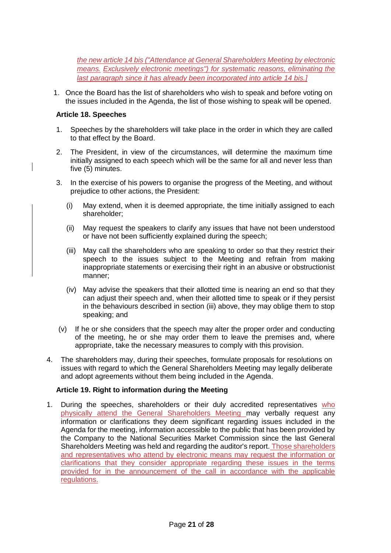*the new article 14 bis ("Attendance at General Shareholders Meeting by electronic means. Exclusively electronic meetings") for systematic reasons, eliminating the last paragraph since it has already been incorporated into article 14 bis.]*

1. Once the Board has the list of shareholders who wish to speak and before voting on the issues included in the Agenda, the list of those wishing to speak will be opened.

#### <span id="page-27-0"></span>**Article 18. Speeches**

- 1. Speeches by the shareholders will take place in the order in which they are called to that effect by the Board.
- 2. The President, in view of the circumstances, will determine the maximum time initially assigned to each speech which will be the same for all and never less than five (5) minutes.
- 3. In the exercise of his powers to organise the progress of the Meeting, and without prejudice to other actions, the President:
	- (i) May extend, when it is deemed appropriate, the time initially assigned to each shareholder;
	- (ii) May request the speakers to clarify any issues that have not been understood or have not been sufficiently explained during the speech;
	- (iii) May call the shareholders who are speaking to order so that they restrict their speech to the issues subject to the Meeting and refrain from making inappropriate statements or exercising their right in an abusive or obstructionist manner;
	- (iv) May advise the speakers that their allotted time is nearing an end so that they can adjust their speech and, when their allotted time to speak or if they persist in the behaviours described in section (iii) above, they may oblige them to stop speaking; and
- (v) If he or she considers that the speech may alter the proper order and conducting of the meeting, he or she may order them to leave the premises and, where appropriate, take the necessary measures to comply with this provision.
- 4. The shareholders may, during their speeches, formulate proposals for resolutions on issues with regard to which the General Shareholders Meeting may legally deliberate and adopt agreements without them being included in the Agenda.

#### <span id="page-27-1"></span>**Article 19. Right to information during the Meeting**

1. During the speeches, shareholders or their duly accredited representatives who physically attend the General Shareholders Meeting may verbally request any information or clarifications they deem significant regarding issues included in the Agenda for the meeting, information accessible to the public that has been provided by the Company to the National Securities Market Commission since the last General Shareholders Meeting was held and regarding the auditor's report. Those shareholders and representatives who attend by electronic means may request the information or clarifications that they consider appropriate regarding these issues in the terms provided for in the announcement of the call in accordance with the applicable regulations.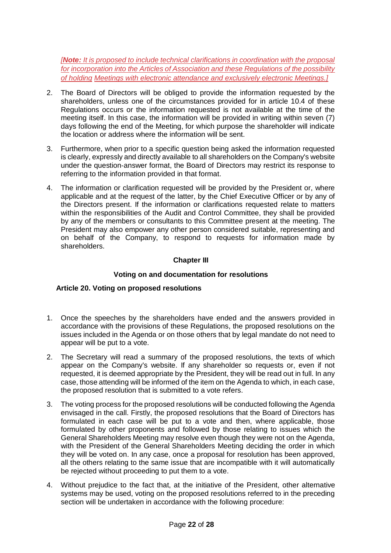*[Note: It is proposed to include technical clarifications in coordination with the proposal for incorporation into the Articles of Association and these Regulations of the possibility of holding Meetings with electronic attendance and exclusively electronic Meetings.]*

- 2. The Board of Directors will be obliged to provide the information requested by the shareholders, unless one of the circumstances provided for in article 10.4 of these Regulations occurs or the information requested is not available at the time of the meeting itself. In this case, the information will be provided in writing within seven (7) days following the end of the Meeting, for which purpose the shareholder will indicate the location or address where the information will be sent.
- 3. Furthermore, when prior to a specific question being asked the information requested is clearly, expressly and directly available to all shareholders on the Company's website under the question-answer format, the Board of Directors may restrict its response to referring to the information provided in that format.
- 4. The information or clarification requested will be provided by the President or, where applicable and at the request of the latter, by the Chief Executive Officer or by any of the Directors present. If the information or clarifications requested relate to matters within the responsibilities of the Audit and Control Committee, they shall be provided by any of the members or consultants to this Committee present at the meeting. The President may also empower any other person considered suitable, representing and on behalf of the Company, to respond to requests for information made by shareholders.

#### **Chapter III**

#### **Voting on and documentation for resolutions**

#### <span id="page-28-2"></span><span id="page-28-1"></span><span id="page-28-0"></span>**Article 20. Voting on proposed resolutions**

- 1. Once the speeches by the shareholders have ended and the answers provided in accordance with the provisions of these Regulations, the proposed resolutions on the issues included in the Agenda or on those others that by legal mandate do not need to appear will be put to a vote.
- 2. The Secretary will read a summary of the proposed resolutions, the texts of which appear on the Company's website. If any shareholder so requests or, even if not requested, it is deemed appropriate by the President, they will be read out in full. In any case, those attending will be informed of the item on the Agenda to which, in each case, the proposed resolution that is submitted to a vote refers.
- 3. The voting process for the proposed resolutions will be conducted following the Agenda envisaged in the call. Firstly, the proposed resolutions that the Board of Directors has formulated in each case will be put to a vote and then, where applicable, those formulated by other proponents and followed by those relating to issues which the General Shareholders Meeting may resolve even though they were not on the Agenda, with the President of the General Shareholders Meeting deciding the order in which they will be voted on. In any case, once a proposal for resolution has been approved, all the others relating to the same issue that are incompatible with it will automatically be rejected without proceeding to put them to a vote.
- 4. Without prejudice to the fact that, at the initiative of the President, other alternative systems may be used, voting on the proposed resolutions referred to in the preceding section will be undertaken in accordance with the following procedure: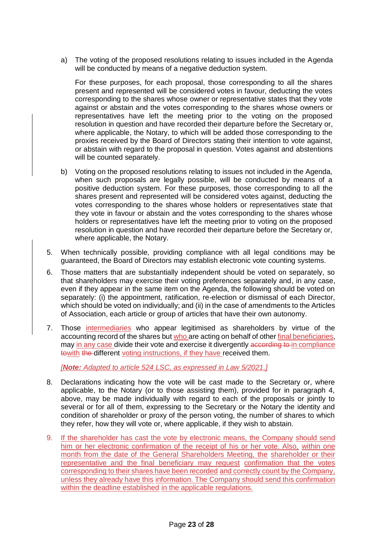a) The voting of the proposed resolutions relating to issues included in the Agenda will be conducted by means of a negative deduction system.

For these purposes, for each proposal, those corresponding to all the shares present and represented will be considered votes in favour, deducting the votes corresponding to the shares whose owner or representative states that they vote against or abstain and the votes corresponding to the shares whose owners or representatives have left the meeting prior to the voting on the proposed resolution in question and have recorded their departure before the Secretary or, where applicable, the Notary, to which will be added those corresponding to the proxies received by the Board of Directors stating their intention to vote against, or abstain with regard to the proposal in question. Votes against and abstentions will be counted separately.

- b) Voting on the proposed resolutions relating to issues not included in the Agenda, when such proposals are legally possible, will be conducted by means of a positive deduction system. For these purposes, those corresponding to all the shares present and represented will be considered votes against, deducting the votes corresponding to the shares whose holders or representatives state that they vote in favour or abstain and the votes corresponding to the shares whose holders or representatives have left the meeting prior to voting on the proposed resolution in question and have recorded their departure before the Secretary or, where applicable, the Notary.
- 5. When technically possible, providing compliance with all legal conditions may be guaranteed, the Board of Directors may establish electronic vote counting systems.
- 6. Those matters that are substantially independent should be voted on separately, so that shareholders may exercise their voting preferences separately and, in any case, even if they appear in the same item on the Agenda, the following should be voted on separately: (i) the appointment, ratification, re-election or dismissal of each Director, which should be voted on individually; and (ii) in the case of amendments to the Articles of Association, each article or group of articles that have their own autonomy.
- 7. Those intermediaries who appear legitimised as shareholders by virtue of the accounting record of the shares but who are acting on behalf of other final beneficiaries, may in any case divide their vote and exercise it divergently according to in compliance towith the different voting instructions, if they have received them.

*[Note: Adapted to article 524 LSC, as expressed in Law 5/2021.]*

- 8. Declarations indicating how the vote will be cast made to the Secretary or, where applicable, to the Notary (or to those assisting them), provided for in paragraph 4, above, may be made individually with regard to each of the proposals or jointly to several or for all of them, expressing to the Secretary or the Notary the identity and condition of shareholder or proxy of the person voting, the number of shares to which they refer, how they will vote or, where applicable, if they wish to abstain.
- 9. If the shareholder has cast the vote by electronic means, the Company should send him or her electronic confirmation of the receipt of his or her vote. Also, within one month from the date of the General Shareholders Meeting, the shareholder or their representative and the final beneficiary may request confirmation that the votes corresponding to their shares have been recorded and correctly count by the Company, unless they already have this information. The Company should send this confirmation within the deadline established in the applicable regulations.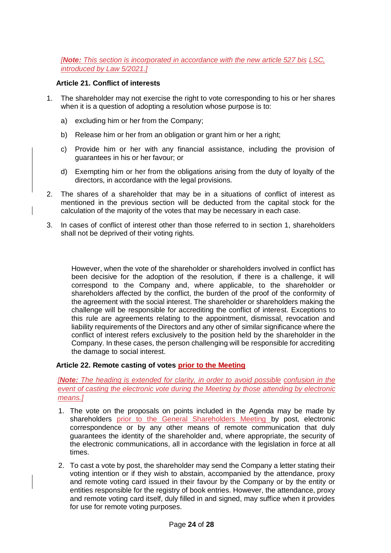*[Note: This section is incorporated in accordance with the new article 527 bis LSC, introduced by Law 5/2021.]*

#### <span id="page-30-0"></span>**Article 21. Conflict of interests**

- 1. The shareholder may not exercise the right to vote corresponding to his or her shares when it is a question of adopting a resolution whose purpose is to:
	- a) excluding him or her from the Company;
	- b) Release him or her from an obligation or grant him or her a right;
	- c) Provide him or her with any financial assistance, including the provision of guarantees in his or her favour; or
	- d) Exempting him or her from the obligations arising from the duty of loyalty of the directors, in accordance with the legal provisions.
- 2. The shares of a shareholder that may be in a situations of conflict of interest as mentioned in the previous section will be deducted from the capital stock for the calculation of the majority of the votes that may be necessary in each case.
- 3. In cases of conflict of interest other than those referred to in section 1, shareholders shall not be deprived of their voting rights.

However, when the vote of the shareholder or shareholders involved in conflict has been decisive for the adoption of the resolution, if there is a challenge, it will correspond to the Company and, where applicable, to the shareholder or shareholders affected by the conflict, the burden of the proof of the conformity of the agreement with the social interest. The shareholder or shareholders making the challenge will be responsible for accrediting the conflict of interest. Exceptions to this rule are agreements relating to the appointment, dismissal, revocation and liability requirements of the Directors and any other of similar significance where the conflict of interest refers exclusively to the position held by the shareholder in the Company. In these cases, the person challenging will be responsible for accrediting the damage to social interest.

#### <span id="page-30-1"></span>**Article 22. Remote casting of votes prior to the Meeting**

#### *[Note: The heading is extended for clarity, in order to avoid possible confusion in the event of casting the electronic vote during the Meeting by those attending by electronic means.]*

- 1. The vote on the proposals on points included in the Agenda may be made by shareholders prior to the General Shareholders Meeting by post, electronic correspondence or by any other means of remote communication that duly guarantees the identity of the shareholder and, where appropriate, the security of the electronic communications, all in accordance with the legislation in force at all times.
- 2. To cast a vote by post, the shareholder may send the Company a letter stating their voting intention or if they wish to abstain, accompanied by the attendance, proxy and remote voting card issued in their favour by the Company or by the entity or entities responsible for the registry of book entries. However, the attendance, proxy and remote voting card itself, duly filled in and signed, may suffice when it provides for use for remote voting purposes.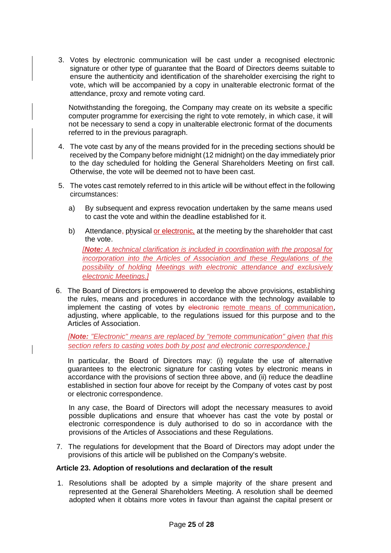3. Votes by electronic communication will be cast under a recognised electronic signature or other type of guarantee that the Board of Directors deems suitable to ensure the authenticity and identification of the shareholder exercising the right to vote, which will be accompanied by a copy in unalterable electronic format of the attendance, proxy and remote voting card.

Notwithstanding the foregoing, the Company may create on its website a specific computer programme for exercising the right to vote remotely, in which case, it will not be necessary to send a copy in unalterable electronic format of the documents referred to in the previous paragraph.

- 4. The vote cast by any of the means provided for in the preceding sections should be received by the Company before midnight (12 midnight) on the day immediately prior to the day scheduled for holding the General Shareholders Meeting on first call. Otherwise, the vote will be deemed not to have been cast.
- 5. The votes cast remotely referred to in this article will be without effect in the following circumstances:
	- a) By subsequent and express revocation undertaken by the same means used to cast the vote and within the deadline established for it.
	- b) Attendance, physical or electronic, at the meeting by the shareholder that cast the vote. *[Note: A technical clarification is included in coordination with the proposal for incorporation into the Articles of Association and these Regulations of the possibility of holding Meetings with electronic attendance and exclusively electronic Meetings.]*
- 6. The Board of Directors is empowered to develop the above provisions, establishing the rules, means and procedures in accordance with the technology available to implement the casting of votes by electronic remote means of communication, adjusting, where applicable, to the regulations issued for this purpose and to the Articles of Association.

*[Note: "Electronic" means are replaced by "remote communication" given that this section refers to casting votes both by post and electronic correspondence.]*

In particular, the Board of Directors may: (i) regulate the use of alternative guarantees to the electronic signature for casting votes by electronic means in accordance with the provisions of section three above, and (ii) reduce the deadline established in section four above for receipt by the Company of votes cast by post or electronic correspondence.

In any case, the Board of Directors will adopt the necessary measures to avoid possible duplications and ensure that whoever has cast the vote by postal or electronic correspondence is duly authorised to do so in accordance with the provisions of the Articles of Associations and these Regulations.

7. The regulations for development that the Board of Directors may adopt under the provisions of this article will be published on the Company's website.

#### <span id="page-31-0"></span>**Article 23. Adoption of resolutions and declaration of the result**

1. Resolutions shall be adopted by a simple majority of the share present and represented at the General Shareholders Meeting. A resolution shall be deemed adopted when it obtains more votes in favour than against the capital present or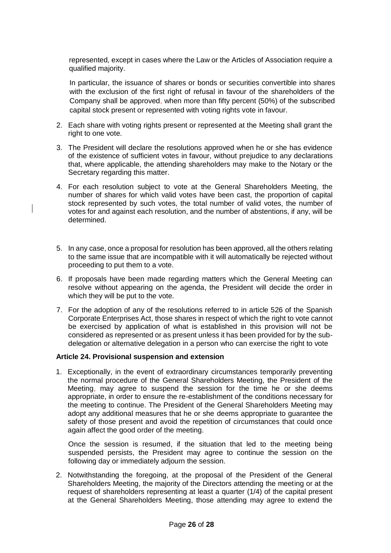represented, except in cases where the Law or the Articles of Association require a qualified majority.

In particular, the issuance of shares or bonds or securities convertible into shares with the exclusion of the first right of refusal in favour of the shareholders of the Company shall be approved, when more than fifty percent (50%) of the subscribed capital stock present or represented with voting rights vote in favour.

- 2. Each share with voting rights present or represented at the Meeting shall grant the right to one vote.
- 3. The President will declare the resolutions approved when he or she has evidence of the existence of sufficient votes in favour, without prejudice to any declarations that, where applicable, the attending shareholders may make to the Notary or the Secretary regarding this matter.
- 4. For each resolution subject to vote at the General Shareholders Meeting, the number of shares for which valid votes have been cast, the proportion of capital stock represented by such votes, the total number of valid votes, the number of votes for and against each resolution, and the number of abstentions, if any, will be determined.
- 5. In any case, once a proposal for resolution has been approved, all the others relating to the same issue that are incompatible with it will automatically be rejected without proceeding to put them to a vote.
- 6. If proposals have been made regarding matters which the General Meeting can resolve without appearing on the agenda, the President will decide the order in which they will be put to the vote.
- 7. For the adoption of any of the resolutions referred to in article 526 of the Spanish Corporate Enterprises Act, those shares in respect of which the right to vote cannot be exercised by application of what is established in this provision will not be considered as represented or as present unless it has been provided for by the subdelegation or alternative delegation in a person who can exercise the right to vote

#### <span id="page-32-0"></span>**Article 24. Provisional suspension and extension**

1. Exceptionally, in the event of extraordinary circumstances temporarily preventing the normal procedure of the General Shareholders Meeting, the President of the Meeting, may agree to suspend the session for the time he or she deems appropriate, in order to ensure the re-establishment of the conditions necessary for the meeting to continue. The President of the General Shareholders Meeting may adopt any additional measures that he or she deems appropriate to guarantee the safety of those present and avoid the repetition of circumstances that could once again affect the good order of the meeting.

Once the session is resumed, if the situation that led to the meeting being suspended persists, the President may agree to continue the session on the following day or immediately adjourn the session.

2. Notwithstanding the foregoing, at the proposal of the President of the General Shareholders Meeting, the majority of the Directors attending the meeting or at the request of shareholders representing at least a quarter (1/4) of the capital present at the General Shareholders Meeting, those attending may agree to extend the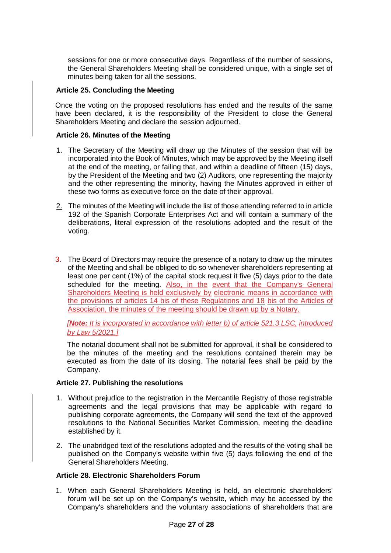sessions for one or more consecutive days. Regardless of the number of sessions, the General Shareholders Meeting shall be considered unique, with a single set of minutes being taken for all the sessions.

#### <span id="page-33-0"></span>**Article 25. Concluding the Meeting**

Once the voting on the proposed resolutions has ended and the results of the same have been declared, it is the responsibility of the President to close the General Shareholders Meeting and declare the session adjourned.

#### <span id="page-33-1"></span>**Article 26. Minutes of the Meeting**

- 1. The Secretary of the Meeting will draw up the Minutes of the session that will be incorporated into the Book of Minutes, which may be approved by the Meeting itself at the end of the meeting, or failing that, and within a deadline of fifteen (15) days, by the President of the Meeting and two (2) Auditors, one representing the majority and the other representing the minority, having the Minutes approved in either of these two forms as executive force on the date of their approval.
- 2. The minutes of the Meeting will include the list of those attending referred to in article 192 of the Spanish Corporate Enterprises Act and will contain a summary of the deliberations, literal expression of the resolutions adopted and the result of the voting.
- 3. The Board of Directors may require the presence of a notary to draw up the minutes of the Meeting and shall be obliged to do so whenever shareholders representing at least one per cent (1%) of the capital stock request it five (5) days prior to the date scheduled for the meeting. Also, in the event that the Company's General Shareholders Meeting is held exclusively by electronic means in accordance with the provisions of articles 14 bis of these Regulations and 18 bis of the Articles of Association, the minutes of the meeting should be drawn up by a Notary.

*[Note: It is incorporated in accordance with letter b) of article 521.3 LSC, introduced by Law 5/2021.]*

The notarial document shall not be submitted for approval, it shall be considered to be the minutes of the meeting and the resolutions contained therein may be executed as from the date of its closing. The notarial fees shall be paid by the Company.

#### <span id="page-33-2"></span>**Article 27. Publishing the resolutions**

- 1. Without prejudice to the registration in the Mercantile Registry of those registrable agreements and the legal provisions that may be applicable with regard to publishing corporate agreements, the Company will send the text of the approved resolutions to the National Securities Market Commission, meeting the deadline established by it.
- 2. The unabridged text of the resolutions adopted and the results of the voting shall be published on the Company's website within five (5) days following the end of the General Shareholders Meeting.

#### <span id="page-33-3"></span>**Article 28. Electronic Shareholders Forum**

1. When each General Shareholders Meeting is held, an electronic shareholders' forum will be set up on the Company's website, which may be accessed by the Company's shareholders and the voluntary associations of shareholders that are